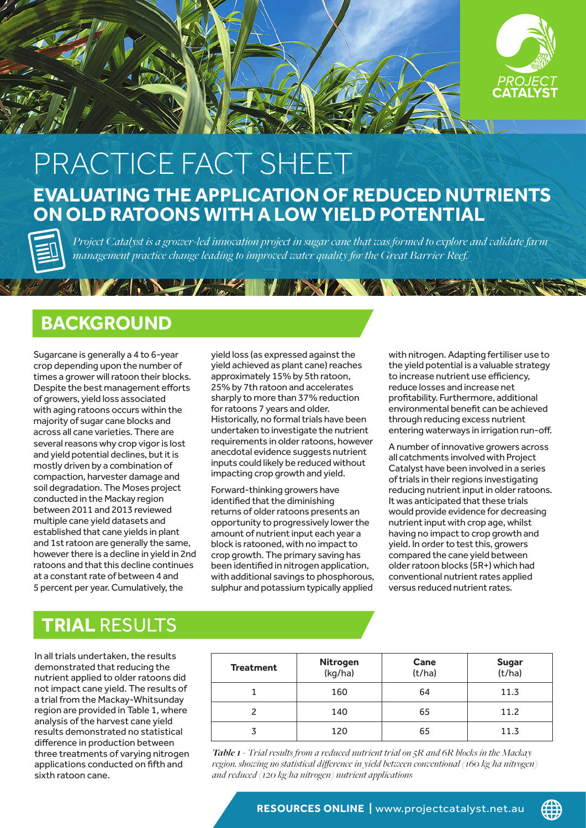

## **EVALUATING THE APPLICATION OF REDUCED NUTRIENTS ON OLD RATOONS WITH A LOW YIELD POTENTIAL** PRACTICE FACT SHEET

*Project Catalyst is a grower-led innovation project in sugar cane that was formed to explore and validate farm management practice change leading to improved water quality for the Great Barrier Reef.*

**VIDENCE VANDED** 

## **BACKGROUND**

THE REAL PROPERTY AND REAL PROPERTY.

Sugarcane is generally a 4 to 6-year crop depending upon the number of times a grower will ratoon their blocks. Despite the best management efforts of growers, yield loss associated with aging ratoons occurs within the majority of sugar cane blocks and across all cane varieties. There are several reasons why crop vigor is lost and yield potential declines, but it is mostly driven by a combination of compaction, harvester damage and soil degradation. The Moses project conducted in the Mackay region between 2011 and 2013 reviewed multiple cane yield datasets and established that cane yields in plant and 1st ratoon are generally the same, however there is a decline in yield in 2nd ratoons and that this decline continues at a constant rate of between 4 and 5 percent per year. Cumulatively, the

yield loss (as expressed against the yield achieved as plant cane) reaches approximately 15% by 5th ratoon, 25% by 7th ratoon and accelerates sharply to more than 37% reduction for ratoons 7 years and older. Historically, no formal trials have been undertaken to investigate the nutrient requirements in older ratoons, however anecdotal evidence suggests nutrient inputs could likely be reduced without impacting crop growth and yield.

Forward-thinking growers have identified that the diminishing returns of older ratoons presents an opportunity to progressively lower the amount of nutrient input each year a block is ratooned, with no impact to crop growth. The primary saving has been identified in nitrogen application. with additional savings to phosphorous, sulphur and potassium typically applied

with nitrogen. Adapting fertiliser use to the yield potential is a valuable strategy to increase nutrient use efficiency, reduce losses and increase net profitability. Furthermore, additional environmental benefit can be achieved through reducing excess nutrient entering waterways in irrigation run-off.

A number of innovative growers across all catchments involved with Project Catalyst have been involved in a series of trials in their regions investigating reducing nutrient input in older ratoons. It was anticipated that these trials would provide evidence for decreasing nutrient input with crop age, whilst having no impact to crop growth and yield. In order to test this, growers compared the cane yield between older ratoon blocks (5R+) which had conventional nutrient rates applied versus reduced nutrient rates.

∰

## **TRIAL** RESULTS

In all trials undertaken, the results demonstrated that reducing the nutrient applied to older ratoons did not impact cane yield. The results of a trial from the Mackay-Whitsunday region are provided in Table 1, where analysis of the harvest cane yield results demonstrated no statistical difference in production between three treatments of varying nitrogen applications conducted on fifth and sixth ratoon cane.

| <b>Treatment</b> | Nitrogen<br>(kg/ha) | Cane<br>(t/ha) | <b>Sugar</b><br>(t/ha) |
|------------------|---------------------|----------------|------------------------|
|                  | 160                 | 64             | 11.3                   |
|                  | 140                 | 65             | 11.2                   |
|                  | 120                 | 65             | 11.3                   |

*Table 1 - Trial results from a reduced nutrient trial on 5R and 6R blocks in the Mackay region, showing no statistical difference in yield between conventional (160 kg/ha nitrogen) and reduced (120 kg/ha nitrogen) nutrient applications*